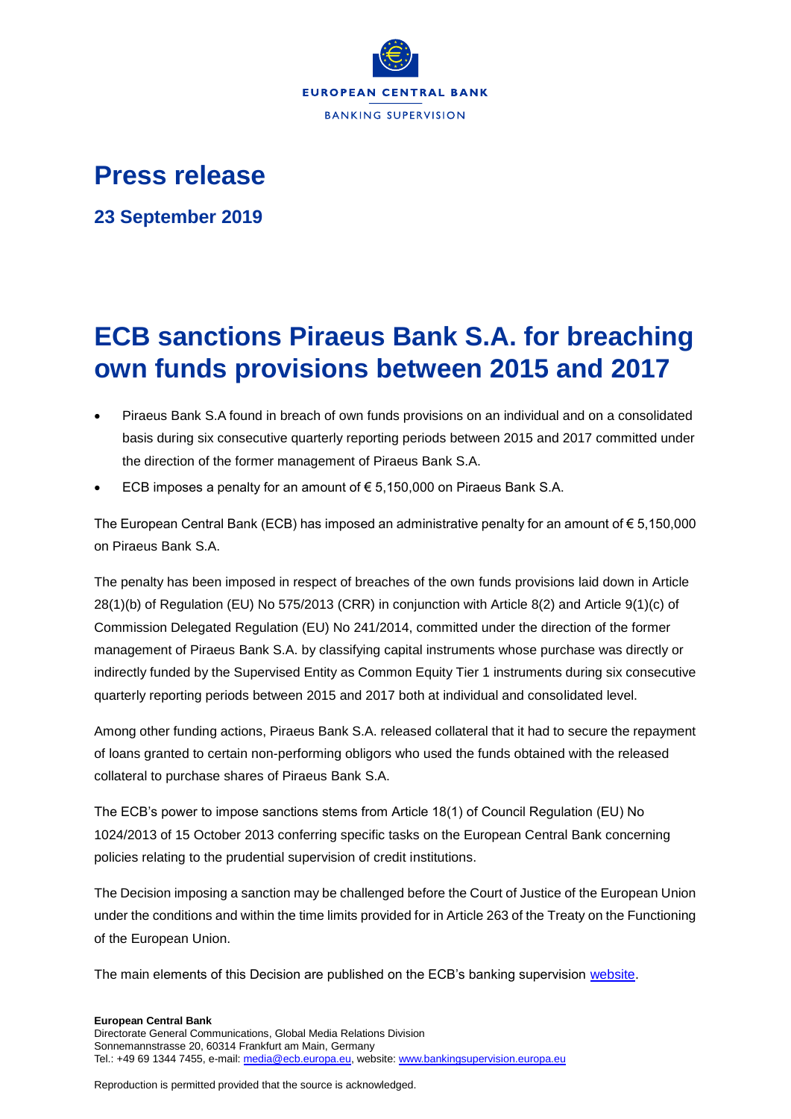

## **Press release**

**23 September 2019**

## **ECB sanctions Piraeus Bank S.A. for breaching own funds provisions between 2015 and 2017**

- Piraeus Bank S.A found in breach of own funds provisions on an individual and on a consolidated basis during six consecutive quarterly reporting periods between 2015 and 2017 committed under the direction of the former management of Piraeus Bank S.A.
- ECB imposes a penalty for an amount of € 5,150,000 on Piraeus Bank S.A.

The European Central Bank (ECB) has imposed an administrative penalty for an amount of  $\epsilon$  5,150,000 on Piraeus Bank S.A.

The penalty has been imposed in respect of breaches of the own funds provisions laid down in Article 28(1)(b) of Regulation (EU) No 575/2013 (CRR) in conjunction with Article 8(2) and Article 9(1)(c) of Commission Delegated Regulation (EU) No 241/2014, committed under the direction of the former management of Piraeus Bank S.A. by classifying capital instruments whose purchase was directly or indirectly funded by the Supervised Entity as Common Equity Tier 1 instruments during six consecutive quarterly reporting periods between 2015 and 2017 both at individual and consolidated level.

Among other funding actions, Piraeus Bank S.A. released collateral that it had to secure the repayment of loans granted to certain non-performing obligors who used the funds obtained with the released collateral to purchase shares of Piraeus Bank S.A.

The ECB's power to impose sanctions stems from Article 18(1) of Council Regulation (EU) No 1024/2013 of 15 October 2013 conferring specific tasks on the European Central Bank concerning policies relating to the prudential supervision of credit institutions.

The Decision imposing a sanction may be challenged before the Court of Justice of the European Union under the conditions and within the time limits provided for in Article 263 of the Treaty on the Functioning of the European Union.

The main elements of this Decision are published on the ECB's banking supervision [website.](https://www.bankingsupervision.europa.eu/banking/sanctions/html/index.en.html)

Reproduction is permitted provided that the source is acknowledged.